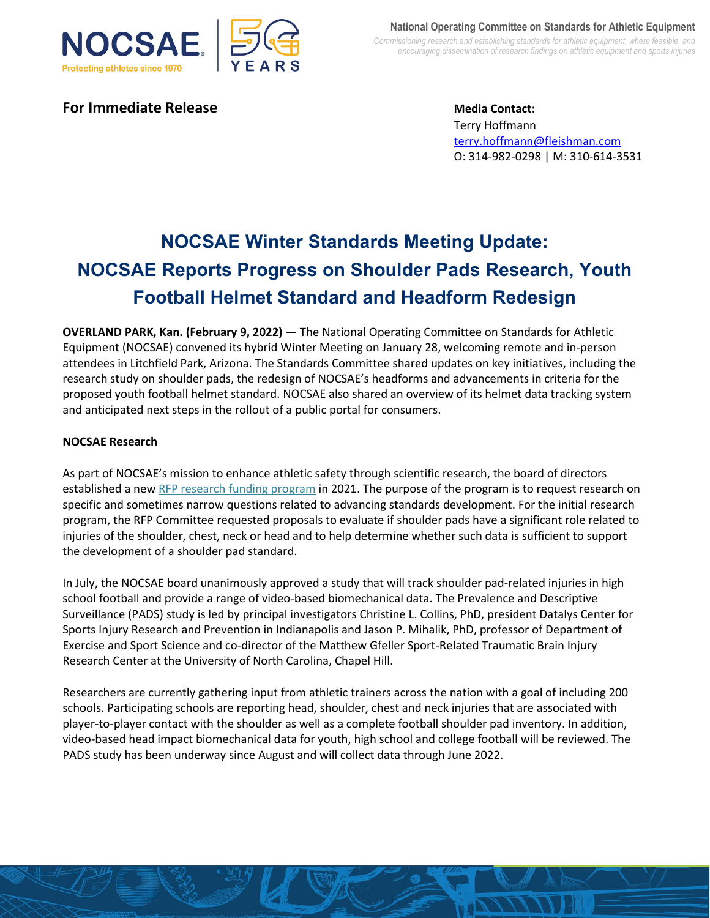

**For Immediate Release Media Contact:** 

Terry Hoffmann [terry.hoffmann@fleishman.com](mailto:terry.hoffmann@fleishman.com) O: 314-982-0298 | M: 310-614-3531

# **NOCSAE Winter Standards Meeting Update: NOCSAE Reports Progress on Shoulder Pads Research, Youth Football Helmet Standard and Headform Redesign**

**OVERLAND PARK, Kan. (February 9, 2022)** ― The National Operating Committee on Standards for Athletic Equipment (NOCSAE) convened its hybrid Winter Meeting on January 28, welcoming remote and in-person attendees in Litchfield Park, Arizona. The Standards Committee shared updates on key initiatives, including the research study on shoulder pads, the redesign of NOCSAE's headforms and advancements in criteria for the proposed youth football helmet standard. NOCSAE also shared an overview of its helmet data tracking system and anticipated next steps in the rollout of a public portal for consumers.

## **NOCSAE Research**

As part of NOCSAE's mission to enhance athletic safety through scientific research, the board of directors established a ne[w RFP research funding program](https://nocsae.org/nocsaes-requests-for-proposal/) in 2021. The purpose of the program is to request research on specific and sometimes narrow questions related to advancing standards development. For the initial research program, the RFP Committee requested proposals to evaluate if shoulder pads have a significant role related to injuries of the shoulder, chest, neck or head and to help determine whether such data is sufficient to support the development of a shoulder pad standard.

In July, the NOCSAE board unanimously approved a study that will track shoulder pad-related injuries in high school football and provide a range of video-based biomechanical data. The Prevalence and Descriptive Surveillance (PADS) study is led by principal investigators Christine L. Collins, PhD, president Datalys Center for Sports Injury Research and Prevention in Indianapolis and Jason P. Mihalik, PhD, professor of Department of Exercise and Sport Science and co-director of the Matthew Gfeller Sport-Related Traumatic Brain Injury Research Center at the University of North Carolina, Chapel Hill.

Researchers are currently gathering input from athletic trainers across the nation with a goal of including 200 schools. Participating schools are reporting head, shoulder, chest and neck injuries that are associated with player-to-player contact with the shoulder as well as a complete football shoulder pad inventory. In addition, video-based head impact biomechanical data for youth, high school and college football will be reviewed. The PADS study has been underway since August and will collect data through June 2022.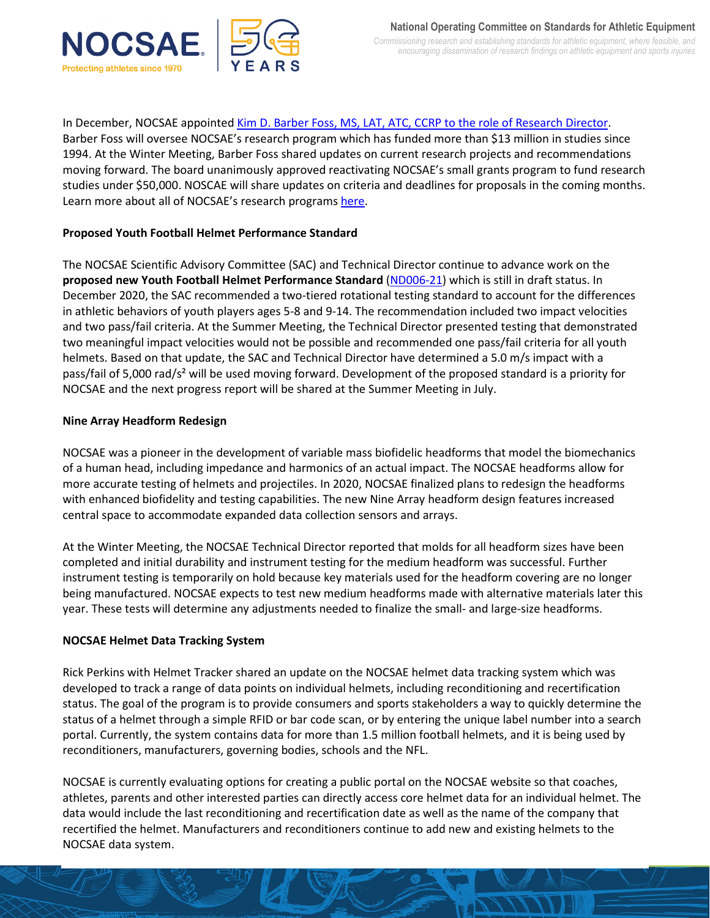

In December, NOCSAE appointe[d Kim D. Barber Foss, MS, LAT, ATC, CCRP to the role of](https://nocsae.org/nocsae-welcomes-new-research-director-kim-barber-foss/) Research Director. Barber Foss will oversee NOCSAE's research program which has funded more than \$13 million in studies since 1994. At the Winter Meeting, Barber Foss shared updates on current research projects and recommendations moving forward. The board unanimously approved reactivating NOCSAE's small grants program to fund research studies under \$50,000. NOSCAE will share updates on criteria and deadlines for proposals in the coming months. Learn more about all of NOCSAE's research programs [here.](https://nocsae.org/research-grant-program/)

## **Proposed Youth Football Helmet Performance Standard**

The NOCSAE Scientific Advisory Committee (SAC) and Technical Director continue to advance work on the **proposed new Youth Football Helmet Performance Standard** [\(ND006-21\)](https://nocsae.org/wp-content/uploads/2018/05/ND006-21-Youth-Helmet-Performance-Specification-DRAFT.pdf) which is still in draft status. In December 2020, the SAC recommended a two-tiered rotational testing standard to account for the differences in athletic behaviors of youth players ages 5-8 and 9-14. The recommendation included two impact velocities and two pass/fail criteria. At the Summer Meeting, the Technical Director presented testing that demonstrated two meaningful impact velocities would not be possible and recommended one pass/fail criteria for all youth helmets. Based on that update, the SAC and Technical Director have determined a 5.0 m/s impact with a pass/fail of 5,000 rad/s² will be used moving forward. Development of the proposed standard is a priority for NOCSAE and the next progress report will be shared at the Summer Meeting in July.

## **Nine Array Headform Redesign**

NOCSAE was a pioneer in the development of variable mass biofidelic headforms that model the biomechanics of a human head, including impedance and harmonics of an actual impact. The NOCSAE headforms allow for more accurate testing of helmets and projectiles. In 2020, NOCSAE finalized plans to redesign the headforms with enhanced biofidelity and testing capabilities. The new Nine Array headform design features increased central space to accommodate expanded data collection sensors and arrays.

At the Winter Meeting, the NOCSAE Technical Director reported that molds for all headform sizes have been completed and initial durability and instrument testing for the medium headform was successful. Further instrument testing is temporarily on hold because key materials used for the headform covering are no longer being manufactured. NOCSAE expects to test new medium headforms made with alternative materials later this year. These tests will determine any adjustments needed to finalize the small- and large-size headforms.

## **NOCSAE Helmet Data Tracking System**

Rick Perkins with Helmet Tracker shared an update on the NOCSAE helmet data tracking system which was developed to track a range of data points on individual helmets, including reconditioning and recertification status. The goal of the program is to provide consumers and sports stakeholders a way to quickly determine the status of a helmet through a simple RFID or bar code scan, or by entering the unique label number into a search portal. Currently, the system contains data for more than 1.5 million football helmets, and it is being used by reconditioners, manufacturers, governing bodies, schools and the NFL.

NOCSAE is currently evaluating options for creating a public portal on the NOCSAE website so that coaches, athletes, parents and other interested parties can directly access core helmet data for an individual helmet. The data would include the last reconditioning and recertification date as well as the name of the company that recertified the helmet. Manufacturers and reconditioners continue to add new and existing helmets to the NOCSAE data system.